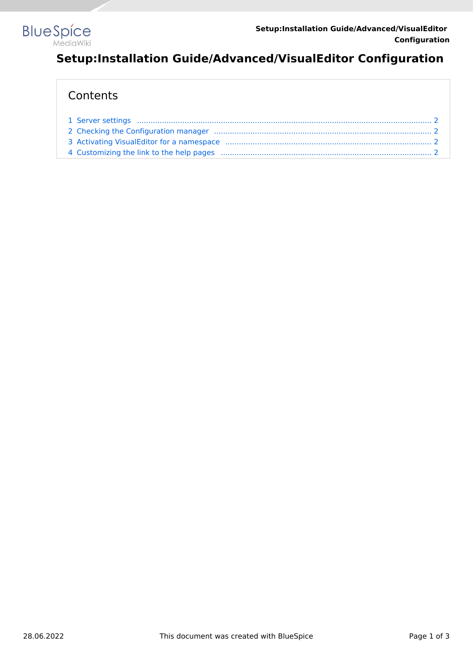

# **Setup:Installation Guide/Advanced/VisualEditor Configuration**

# **Contents**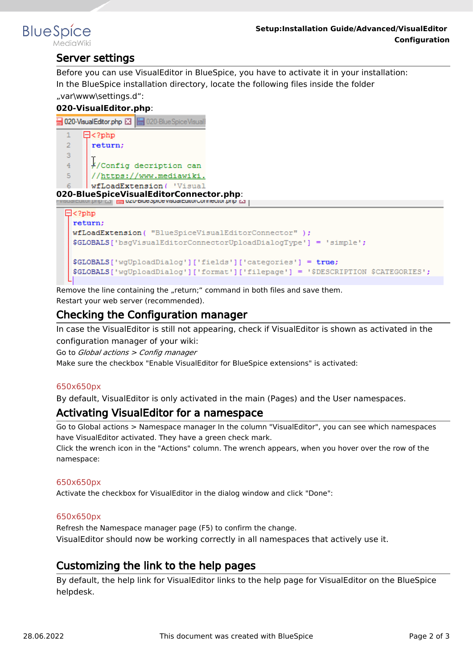<span id="page-1-0"></span>

# Server settings

Before you can use VisualEditor in BlueSpice, you have to activate it in your installation: In the BlueSpice installation directory, locate the following files inside the folder "var\www\settings.d":

**020-VisualEditor.php**: 020-VisualEditor.php E3 | 020-BlueSpiceVisual  $\mathbf{1}$  $\Box$ <?php  $\mathcal{D}$ return:  $\mathbf{R}$ //Config decription can  $\overline{4}$ //https://www.mediawiki. -5 wfLoadExtension( 'Visual -6 **020-BlueSpiceVisualEditorConnector.php**:  $\Box$ <?php return: wfLoadExtension( "BlueSpiceVisualEditorConnector" ); \$GLOBALS['bsgVisualEditorConnectorUploadDialogType'] = 'simple'; \$GLOBALS['wgUploadDialog']['fields']['categories'] = true; \$GLOBALS['wgUploadDialog']['format']['filepage'] = '\$DESCRIPTION \$CATEGORIES';

Remove the line containing the "return;" command in both files and save them. Restart your web server (recommended).

# <span id="page-1-1"></span>Checking the Configuration manager

In case the VisualEditor is still not appearing, check if VisualEditor is shown as activated in the configuration manager of your wiki:

Go to *Global actions > Config manager*

Make sure the checkbox "Enable VisualEditor for BlueSpice extensions" is activated:

#### [650x650px](https://en.wiki.bluespice.com/w/index.php?title=Special:Upload&wpDestFile=ve-config.png)

By default, VisualEditor is only activated in the main (Pages) and the User namespaces.

### <span id="page-1-2"></span>Activating VisualEditor for a namespace

Go to Global actions > Namespace manager In the column "VisualEditor", you can see which namespaces have VisualEditor activated. They have a green check mark.

Click the wrench icon in the "Actions" column. The wrench appears, when you hover over the row of the namespace:

#### [650x650px](https://en.wiki.bluespice.com/w/index.php?title=Special:Upload&wpDestFile=ve-config-namespace.png)

Activate the checkbox for VisualEditor in the dialog window and click "Done":

#### [650x650px](https://en.wiki.bluespice.com/w/index.php?title=Special:Upload&wpDestFile=ve-config-namespace-edit.png)

Refresh the Namespace manager page (F5) to confirm the change. VisualEditor should now be working correctly in all namespaces that actively use it.

# <span id="page-1-3"></span>Customizing the link to the help pages

By default, the help link for VisualEditor links to the help page for VisualEditor on the BlueSpice helpdesk.